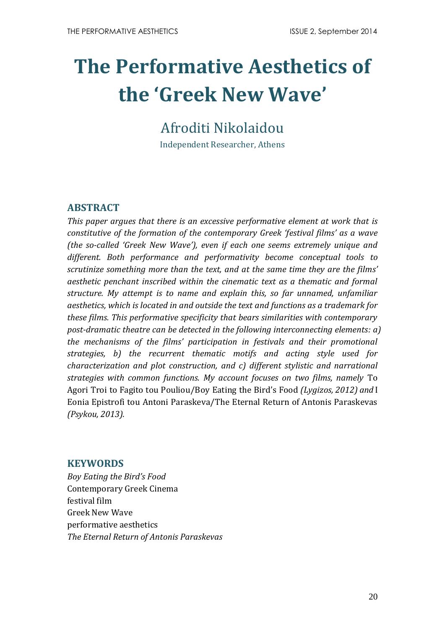# **The Performative Aesthetics of the 'Greek New Wave'**

## Afroditi Nikolaidou

Independent Researcher, Athens

## **ABSTRACT**

*This paper argues that there is an excessive performative element at work that is constitutive of the formation of the contemporary Greek 'festival films' as a wave (the so-called 'Greek New Wave'), even if each one seems extremely unique and different. Both performance and performativity become conceptual tools to scrutinize something more than the text, and at the same time they are the films' aesthetic penchant inscribed within the cinematic text as a thematic and formal structure. My attempt is to name and explain this, so far unnamed, unfamiliar aesthetics, which is located in and outside the text and functions as a trademark for these films. This performative specificity that bears similarities with contemporary post-dramatic theatre can be detected in the following interconnecting elements: a) the mechanisms of the films' participation in festivals and their promotional strategies, b) the recurrent thematic motifs and acting style used for characterization and plot construction, and c) different stylistic and narrational strategies with common functions. My account focuses on two films, namely* To Agori Troi to Fagito tou Pouliou/Boy Eating the Bird's Food *(Lygizos, 2012) and* I Eonia Epistrofi tou Antoni Paraskeva/The Eternal Return of Antonis Paraskevas *(Psykou, 2013).*

## **KEYWORDS**

*Boy Eating the Bird's Food*  Contemporary Greek Cinema festival film Greek New Wave performative aesthetics *The Eternal Return of Antonis Paraskevas*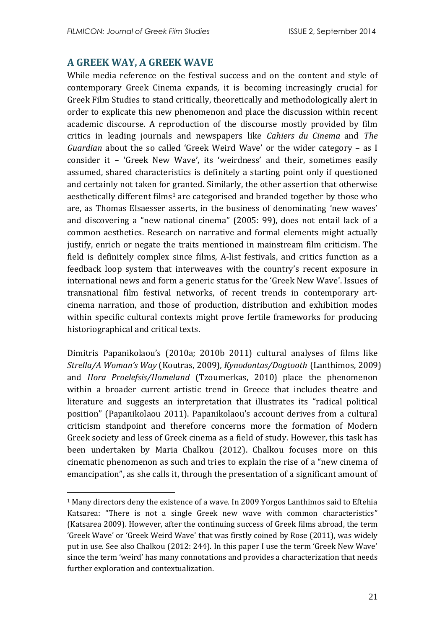## **A GREEK WAY, A GREEK WAVE**

1

While media reference on the festival success and on the content and style of contemporary Greek Cinema expands, it is becoming increasingly crucial for Greek Film Studies to stand critically, theoretically and methodologically alert in order to explicate this new phenomenon and place the discussion within recent academic discourse. A reproduction of the discourse mostly provided by film critics in leading journals and newspapers like *Cahiers du Cinema* and *The Guardian* about the so called 'Greek Weird Wave' or the wider category – as I consider it – 'Greek New Wave', its 'weirdness' and their, sometimes easily assumed, shared characteristics is definitely a starting point only if questioned and certainly not taken for granted. Similarly, the other assertion that otherwise aesthetically different films<sup>1</sup> are categorised and branded together by those who are, as Thomas Elsaesser asserts, in the business of denominating 'new waves' and discovering a "new national cinema" (2005: 99), does not entail lack of a common aesthetics. Research on narrative and formal elements might actually justify, enrich or negate the traits mentioned in mainstream film criticism. The field is definitely complex since films, A-list festivals, and critics function as a feedback loop system that interweaves with the country's recent exposure in international news and form a generic status for the 'Greek New Wave'. Issues of transnational film festival networks, of recent trends in contemporary artcinema narration, and those of production, distribution and exhibition modes within specific cultural contexts might prove fertile frameworks for producing historiographical and critical texts.

Dimitris Papanikolaou's (2010a; 2010b 2011) cultural analyses of films like *Strella/A Woman's Way* (Koutras, 2009)*, Kynodontas/Dogtooth* (Lanthimos, 2009) and *Hora Proelefsis/Homeland* (Tzoumerkas, 2010) place the phenomenon within a broader current artistic trend in Greece that includes theatre and literature and suggests an interpretation that illustrates its "radical political position" (Papanikolaou 2011). Papanikolaou's account derives from a cultural criticism standpoint and therefore concerns more the formation of Modern Greek society and less of Greek cinema as a field of study. However, this task has been undertaken by Maria Chalkou (2012). Chalkou focuses more on this cinematic phenomenon as such and tries to explain the rise of a "new cinema of emancipation", as she calls it, through the presentation of a significant amount of

<sup>1</sup> Many directors deny the existence of a wave. In 2009 Yorgos Lanthimos said to Eftehia Katsarea: "There is not a single Greek new wave with common characteristics" (Katsarea 2009). However, after the continuing success of Greek films abroad, the term 'Greek Wave' or 'Greek Weird Wave' that was firstly coined by Rose (2011), was widely put in use. See also Chalkou (2012: 244). In this paper I use the term 'Greek New Wave' since the term 'weird' has many connotations and provides a characterization that needs further exploration and contextualization.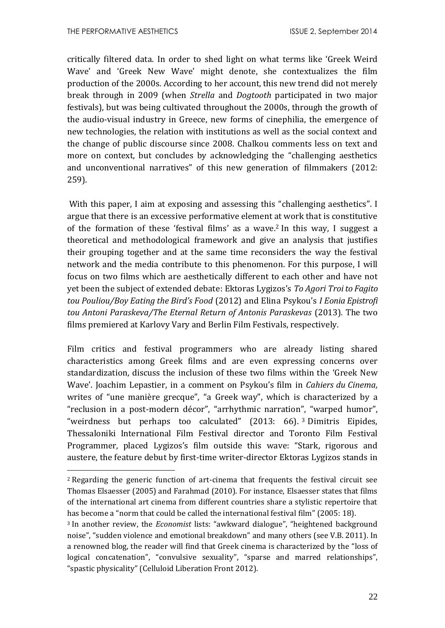1

critically filtered data. In order to shed light on what terms like 'Greek Weird Wave' and 'Greek New Wave' might denote, she contextualizes the film production of the 2000s. According to her account, this new trend did not merely break through in 2009 (when *Strella* and *Dogtooth* participated in two major festivals), but was being cultivated throughout the 2000s, through the growth of the audio-visual industry in Greece, new forms of cinephilia, the emergence of new technologies, the relation with institutions as well as the social context and the change of public discourse since 2008. Chalkou comments less on text and more on context, but concludes by acknowledging the "challenging aesthetics and unconventional narratives" of this new generation of filmmakers (2012: 259).

With this paper, I aim at exposing and assessing this "challenging aesthetics". I argue that there is an excessive performative element at work that is constitutive of the formation of these 'festival films' as a wave. <sup>2</sup> In this way, I suggest a theoretical and methodological framework and give an analysis that justifies their grouping together and at the same time reconsiders the way the festival network and the media contribute to this phenomenon. For this purpose, I will focus on two films which are aesthetically different to each other and have not yet been the subject of extended debate: Ektoras Lygizos's *To Agori Troi to Fagito tou Pouliou/Boy Eating the Bird's Food* (2012) and Elina Psykou's *I Eonia Epistrofi tou Antoni Paraskeva/The Eternal Return of Antonis Paraskevas* (2013)*.* The two films premiered at Karlovy Vary and Berlin Film Festivals, respectively.

Film critics and festival programmers who are already listing shared characteristics among Greek films and are even expressing concerns over standardization, discuss the inclusion of these two films within the 'Greek New Wave'. Joachim Lepastier, in a comment on Psykou's film in *Cahiers du Cinema,* writes of "une manière grecque", "a Greek way", which is characterized by a "reclusion in a post-modern décor", "arrhythmic narration", "warped humor", "weirdness but perhaps too calculated" (2013: 66). <sup>3</sup> Dimitris Eipides, Thessaloniki International Film Festival director and Toronto Film Festival Programmer, placed Lygizos's film outside this wave: "Stark, rigorous and austere, the feature debut by first-time writer-director Ektoras Lygizos stands in

<sup>2</sup> Regarding the generic function of art-cinema that frequents the festival circuit see Thomas Elsaesser (2005) and Farahmad (2010). For instance, Elsaesser states that films of the international art cinema from different countries share a stylistic repertoire that has become a "norm that could be called the international festival film" (2005: 18).

<sup>3</sup> In another review, the *Economist* lists: "awkward dialogue", "heightened background noise", "sudden violence and emotional breakdown" and many others (see V.B. 2011). In a renowned blog, the reader will find that Greek cinema is characterized by the "loss of logical concatenation", "convulsive sexuality", "sparse and marred relationships", "spastic physicality" (Celluloid Liberation Front 2012).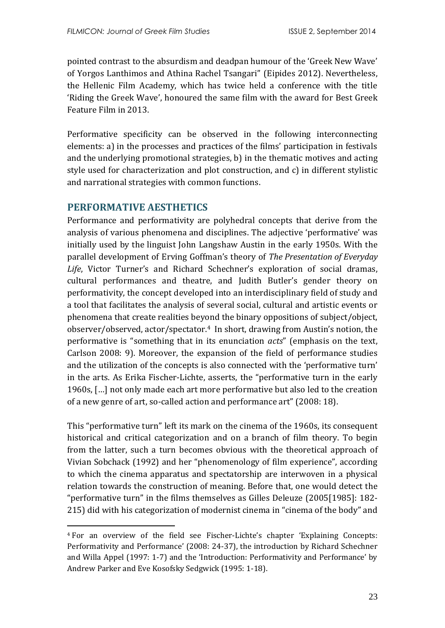pointed contrast to the absurdism and deadpan humour of the 'Greek New Wave' of Yorgos Lanthimos and Athina Rachel Tsangari" (Eipides 2012). Nevertheless, the Hellenic Film Academy, which has twice held a conference with the title 'Riding the Greek Wave', honoured the same film with the award for Best Greek Feature Film in 2013.

Performative specificity can be observed in the following interconnecting elements: a) in the processes and practices of the films' participation in festivals and the underlying promotional strategies, b) in the thematic motives and acting style used for characterization and plot construction, and c) in different stylistic and narrational strategies with common functions.

## **PERFORMATIVE AESTHETICS**

1

Performance and performativity are polyhedral concepts that derive from the analysis of various phenomena and disciplines. The adjective 'performative' was initially used by the linguist John Langshaw Austin in the early 1950s. With the parallel development of Erving Goffman's theory of *The Presentation of Everyday Life*, Victor Turner's and Richard Schechner's exploration of social dramas, cultural performances and theatre, and Judith Butler's gender theory on performativity, the concept developed into an interdisciplinary field of study and a tool that facilitates the analysis of several social, cultural and artistic events or phenomena that create realities beyond the binary oppositions of subject/object, observer/observed, actor/spectator.4 In short, drawing from Austin's notion, the performative is "something that in its enunciation *acts*" (emphasis on the text, Carlson 2008: 9). Moreover, the expansion of the field of performance studies and the utilization of the concepts is also connected with the 'performative turn' in the arts. As Erika Fischer-Lichte, asserts, the "performative turn in the early 1960s, […] not only made each art more performative but also led to the creation of a new genre of art, so-called action and performance art" (2008: 18).

This "performative turn" left its mark on the cinema of the 1960s, its consequent historical and critical categorization and on a branch of film theory. To begin from the latter, such a turn becomes obvious with the theoretical approach of Vivian Sobchack (1992) and her "phenomenology of film experience", according to which the cinema apparatus and spectatorship are interwoven in a physical relation towards the construction of meaning. Before that, one would detect the "performative turn" in the films themselves as Gilles Deleuze (2005[1985]: 182- 215) did with his categorization of modernist cinema in "cinema of the body" and

<sup>4</sup> For an overview of the field see Fischer-Lichte's chapter 'Explaining Concepts: Performativity and Performance' (2008: 24-37), the introduction by Richard Schechner and Willa Appel (1997: 1-7) and the 'Introduction: Performativity and Performance' by Andrew Parker and Eve Kosofsky Sedgwick (1995: 1-18).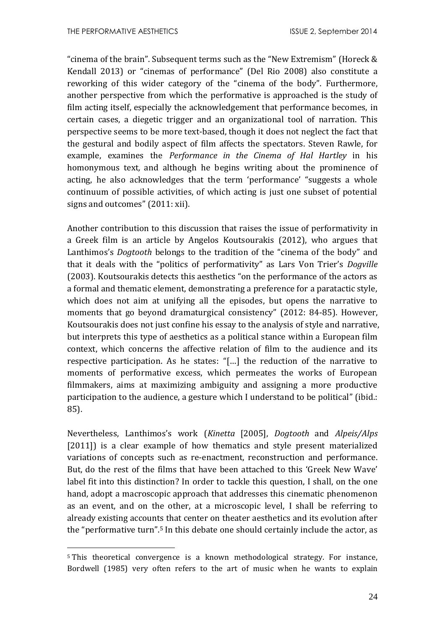1

"cinema of the brain". Subsequent terms such as the "New Extremism" (Horeck & Kendall 2013) or "cinemas of performance" (Del Rio 2008) also constitute a reworking of this wider category of the "cinema of the body". Furthermore, another perspective from which the performative is approached is the study of film acting itself, especially the acknowledgement that performance becomes, in certain cases, a diegetic trigger and an organizational tool of narration. This perspective seems to be more text-based, though it does not neglect the fact that the gestural and bodily aspect of film affects the spectators. Steven Rawle, for example, examines the *Performance in the Cinema of Hal Hartley* in his homonymous text*,* and although he begins writing about the prominence of acting, he also acknowledges that the term 'performance' "suggests a whole continuum of possible activities, of which acting is just one subset of potential signs and outcomes" (2011: xii).

Another contribution to this discussion that raises the issue of performativity in a Greek film is an article by Angelos Koutsourakis (2012), who argues that Lanthimos's *Dogtooth* belongs to the tradition of the "cinema of the body" and that it deals with the "politics of performativity" as Lars Von Trier's *Dogville* (2003). Koutsourakis detects this aesthetics "on the performance of the actors as a formal and thematic element, demonstrating a preference for a paratactic style, which does not aim at unifying all the episodes, but opens the narrative to moments that go beyond dramaturgical consistency" (2012: 84-85). However, Koutsourakis does not just confine his essay to the analysis of style and narrative, but interprets this type of aesthetics as a political stance within a European film context, which concerns the affective relation of film to the audience and its respective participation. As he states: "[…] the reduction of the narrative to moments of performative excess, which permeates the works of European filmmakers, aims at maximizing ambiguity and assigning a more productive participation to the audience, a gesture which I understand to be political" (ibid.: 85).

Nevertheless, Lanthimos's work (*Kinetta* [2005], *Dogtooth* and *Alpeis/Alps* [2011]) is a clear example of how thematics and style present materialized variations of concepts such as re-enactment, reconstruction and performance. But, do the rest of the films that have been attached to this 'Greek New Wave' label fit into this distinction? In order to tackle this question, I shall, on the one hand, adopt a macroscopic approach that addresses this cinematic phenomenon as an event, and on the other, at a microscopic level, I shall be referring to already existing accounts that center on theater aesthetics and its evolution after the "performative turn". <sup>5</sup> In this debate one should certainly include the actor, as

<sup>5</sup> This theoretical convergence is a known methodological strategy. For instance, Bordwell (1985) very often refers to the art of music when he wants to explain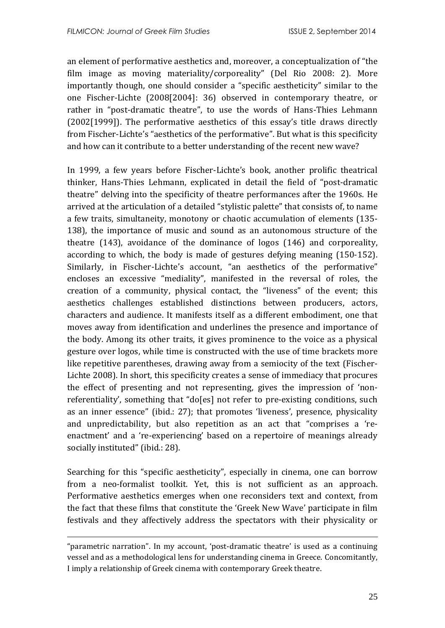an element of performative aesthetics and, moreover, a conceptualization of "the film image as moving materiality/corporeality" (Del Rio 2008: 2). More importantly though, one should consider a "specific aestheticity" similar to the one Fischer-Lichte (2008[2004]: 36) observed in contemporary theatre, or rather in "post-dramatic theatre", to use the words of Hans-Thies Lehmann (2002[1999]). The performative aesthetics of this essay's title draws directly from Fischer-Lichte's "aesthetics of the performative". But what is this specificity and how can it contribute to a better understanding of the recent new wave?

In 1999, a few years before Fischer-Lichte's book, another prolific theatrical thinker, Hans-Thies Lehmann, explicated in detail the field of "post-dramatic theatre" delving into the specificity of theatre performances after the 1960s. He arrived at the articulation of a detailed "stylistic palette" that consists of, to name a few traits, simultaneity, monotony or chaotic accumulation of elements (135- 138), the importance of music and sound as an autonomous structure of the theatre (143), avoidance of the dominance of logos (146) and corporeality, according to which, the body is made of gestures defying meaning (150-152). Similarly, in Fischer-Lichte's account, "an aesthetics of the performative" encloses an excessive "mediality", manifested in the reversal of roles, the creation of a community, physical contact, the "liveness" of the event; this aesthetics challenges established distinctions between producers, actors, characters and audience. It manifests itself as a different embodiment, one that moves away from identification and underlines the presence and importance of the body. Among its other traits, it gives prominence to the voice as a physical gesture over logos, while time is constructed with the use of time brackets more like repetitive parentheses, drawing away from a semiocity of the text (Fischer-Lichte 2008). In short, this specificity creates a sense of immediacy that procures the effect of presenting and not representing, gives the impression of 'nonreferentiality', something that "do[es] not refer to pre-existing conditions, such as an inner essence" (ibid.: 27); that promotes 'liveness', presence, physicality and unpredictability, but also repetition as an act that "comprises a 'reenactment' and a 're-experiencing' based on a repertoire of meanings already socially instituted" (ibid.: 28).

Searching for this "specific aestheticity", especially in cinema, one can borrow from a neo-formalist toolkit. Yet, this is not sufficient as an approach. Performative aesthetics emerges when one reconsiders text and context, from the fact that these films that constitute the 'Greek New Wave' participate in film festivals and they affectively address the spectators with their physicality or

<u>.</u>

<sup>&</sup>quot;parametric narration". In my account, 'post-dramatic theatre' is used as a continuing vessel and as a methodological lens for understanding cinema in Greece. Concomitantly, I imply a relationship of Greek cinema with contemporary Greek theatre.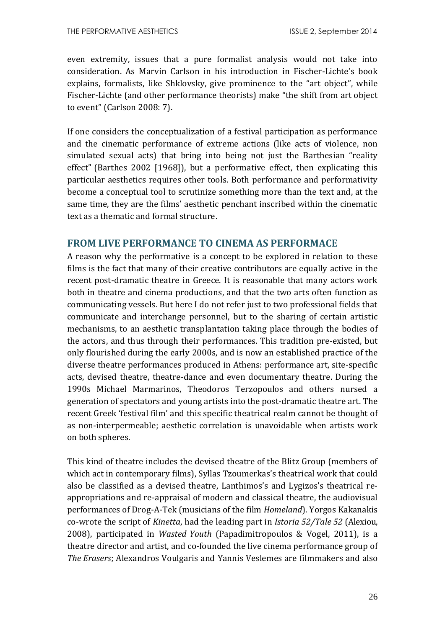even extremity, issues that a pure formalist analysis would not take into consideration. As Marvin Carlson in his introduction in Fischer-Lichte's book explains, formalists, like Shklovsky, give prominence to the "art object", while Fischer-Lichte (and other performance theorists) make "the shift from art object to event" (Carlson 2008: 7).

If one considers the conceptualization of a festival participation as performance and the cinematic performance of extreme actions (like acts of violence, non simulated sexual acts) that bring into being not just the Barthesian "reality effect" (Barthes 2002 [1968]), but a performative effect, then explicating this particular aesthetics requires other tools. Both performance and performativity become a conceptual tool to scrutinize something more than the text and, at the same time, they are the films' aesthetic penchant inscribed within the cinematic text as a thematic and formal structure.

## **FROM LIVE PERFORMANCE TO CINEMA AS PERFORMACE**

A reason why the performative is a concept to be explored in relation to these films is the fact that many of their creative contributors are equally active in the recent post-dramatic theatre in Greece. It is reasonable that many actors work both in theatre and cinema productions, and that the two arts often function as communicating vessels. But here I do not refer just to two professional fields that communicate and interchange personnel, but to the sharing of certain artistic mechanisms, to an aesthetic transplantation taking place through the bodies of the actors, and thus through their performances. This tradition pre-existed, but only flourished during the early 2000s, and is now an established practice of the diverse theatre performances produced in Athens: performance art, site-specific acts, devised theatre, theatre-dance and even documentary theatre. During the 1990s Michael Marmarinos, Theodoros Terzopoulos and others nursed a generation of spectators and young artists into the post-dramatic theatre art. The recent Greek 'festival film' and this specific theatrical realm cannot be thought of as non-interpermeable; aesthetic correlation is unavoidable when artists work on both spheres.

This kind of theatre includes the devised theatre of the Blitz Group (members of which act in contemporary films), Syllas Tzoumerkas's theatrical work that could also be classified as a devised theatre, Lanthimos's and Lygizos's theatrical reappropriations and re-appraisal of modern and classical theatre, the audiovisual performances of Drog-A-Tek (musicians of the film *Homeland*). Yorgos Kakanakis co-wrote the script of *Kinetta*, had the leading part in *Istoria 52/Tale 52* (Alexiou, 2008), participated in *Wasted Youth* (Papadimitropoulos & Vogel, 2011), is a theatre director and artist, and co-founded the live cinema performance group of *The Erasers*; Alexandros Voulgaris and Yannis Veslemes are filmmakers and also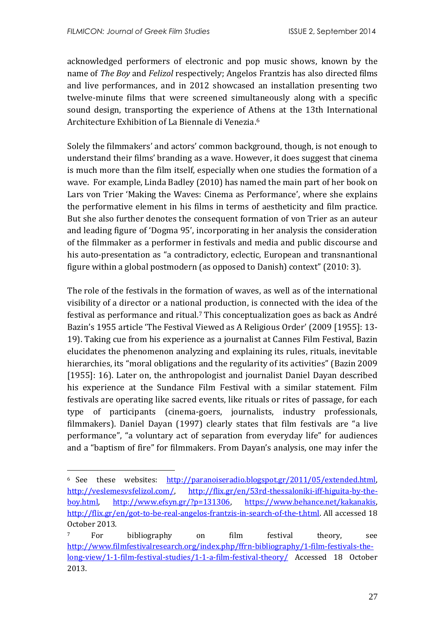1

acknowledged performers of electronic and pop music shows, known by the name of *The Boy* and *Felizol* respectively; Angelos Frantzis has also directed films and live performances, and in 2012 showcased an installation presenting two twelve-minute films that were screened simultaneously along with a specific sound design, transporting the experience of Athens at the 13th International Architecture Exhibition of La Biennale di Venezia. 6

Solely the filmmakers' and actors' common background, though, is not enough to understand their films' branding as a wave. However, it does suggest that cinema is much more than the film itself, especially when one studies the formation of a wave. For example, Linda Badley (2010) has named the main part of her book on Lars von Trier 'Making the Waves: Cinema as Performance', where she explains the performative element in his films in terms of aestheticity and film practice. But she also further denotes the consequent formation of von Trier as an auteur and leading figure of 'Dogma 95', incorporating in her analysis the consideration of the filmmaker as a performer in festivals and media and public discourse and his auto-presentation as "a contradictory, eclectic, European and transnantional figure within a global postmodern (as opposed to Danish) context" (2010: 3).

The role of the festivals in the formation of waves, as well as of the international visibility of a director or a national production, is connected with the idea of the festival as performance and ritual. <sup>7</sup> This conceptualization goes as back as André Bazin's 1955 article 'The Festival Viewed as A Religious Order' (2009 [1955]: 13- 19). Taking cue from his experience as a journalist at Cannes Film Festival, Bazin elucidates the phenomenon analyzing and explaining its rules, rituals, inevitable hierarchies, its "moral obligations and the regularity of its activities" (Bazin 2009 [1955]: 16]. Later on, the anthropologist and journalist Daniel Dayan described his experience at the Sundance Film Festival with a similar statement. Film festivals are operating like sacred events, like rituals or rites of passage, for each type of participants (cinema-goers, journalists, industry professionals, filmmakers). Daniel Dayan (1997) clearly states that film festivals are "a live performance", "a voluntary act of separation from everyday life" for audiences and a "baptism of fire" for filmmakers. From Dayan's analysis, one may infer the

<sup>6</sup> See these websites: [http://paranoiseradio.blogspot.gr/2011/05/extended.html,](http://paranoiseradio.blogspot.gr/2011/05/extended.html) [http://veslemesvsfelizol.com/,](http://veslemesvsfelizol.com/) [http://flix.gr/en/53rd-thessaloniki-iff-higuita-by-the](http://flix.gr/en/53rd-thessaloniki-iff-higuita-by-the-boy.html)[boy.html,](http://flix.gr/en/53rd-thessaloniki-iff-higuita-by-the-boy.html) [http://www.efsyn.gr/?p=131306,](http://www.efsyn.gr/?p=131306) [https://www.behance.net/kakanakis,](https://www.behance.net/kakanakis) [http://flix.gr/en/got-to-be-real-angelos-frantzis-in-search-of-the-t.html.](http://flix.gr/en/got-to-be-real-angelos-frantzis-in-search-of-the-t.html) All accessed 18 October 2013.

<sup>7</sup> For bibliography on film festival theory, see [http://www.filmfestivalresearch.org/index.php/ffrn-bibliography/1-film-festivals-the](http://www.filmfestivalresearch.org/index.php/ffrn-bibliography/1-film-festivals-the-long-view/1-1-film-festival-studies/1-1-a-film-festival-theory/)[long-view/1-1-film-festival-studies/1-1-a-film-festival-theory/](http://www.filmfestivalresearch.org/index.php/ffrn-bibliography/1-film-festivals-the-long-view/1-1-film-festival-studies/1-1-a-film-festival-theory/) Accessed 18 October 2013.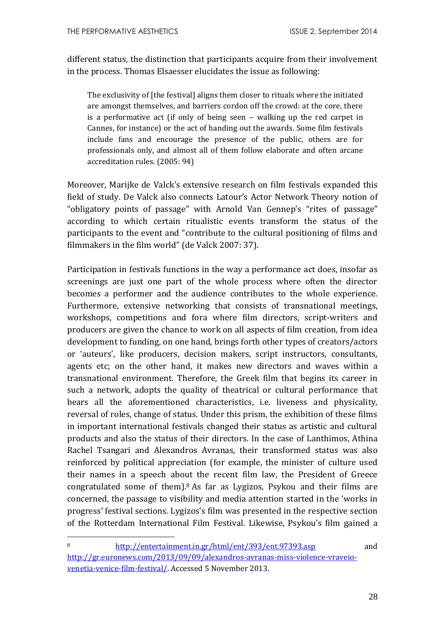different status, the distinction that participants acquire from their involvement in the process. Thomas Elsaesser elucidates the issue as following:

The exclusivity of [the festival] aligns them closer to rituals where the initiated are amongst themselves, and barriers cordon off the crowd: at the core, there is a performative act (if only of being seen – walking up the red carpet in Cannes, for instance) or the act of handing out the awards. Some film festivals include fans and encourage the presence of the public, others are for professionals only, and almost all of them follow elaborate and often arcane accreditation rules. (2005: 94)

Moreover, Marijke de Valck's extensive research on film festivals expanded this field of study. De Valck also connects Latour's Actor Network Theory notion of "obligatory points of passage" with Arnold Van Gennep's "rites of passage" according to which certain ritualistic events transform the status of the participants to the event and "contribute to the cultural positioning of films and filmmakers in the film world" (de Valck 2007: 37).

Participation in festivals functions in the way a performance act does, insofar as screenings are just one part of the whole process where often the director becomes a performer and the audience contributes to the whole experience. Furthermore, extensive networking that consists of transnational meetings, workshops, competitions and fora where film directors, script-writers and producers are given the chance to work on all aspects of film creation, from idea development to funding, on one hand, brings forth other types of creators/actors or 'auteurs', like producers, decision makers, script instructors, consultants, agents etc; on the other hand, it makes new directors and waves within a transnational environment. Therefore, the Greek film that begins its career in such a network, adopts the quality of theatrical or cultural performance that bears all the aforementioned characteristics, i.e. liveness and physicality, reversal of roles, change of status. Under this prism, the exhibition of these films in important international festivals changed their status as artistic and cultural products and also the status of their directors. In the case of Lanthimos, Athina Rachel Tsangari and Alexandros Avranas, their transformed status was also reinforced by political appreciation (for example, the minister of culture used their names in a speech about the recent film law, the President of Greece congratulated some of them). <sup>8</sup> As far as Lygizos, Psykou and their films are concerned, the passage to visibility and media attention started in the 'works in progress' festival sections. Lygizos's film was presented in the respective section of the Rotterdam International Film Festival. Likewise, Psykou's film gained a

<u>.</u>

<sup>8</sup> <http://entertainment.in.gr/html/ent/393/ent.97393.asp> and [http://gr.euronews.com/2013/09/09/alexandros-avranas-miss-violence-vraveio](http://gr.euronews.com/2013/09/09/alexandros-avranas-miss-violence-vraveio-venetia-venice-film-festival/)[venetia-venice-film-festival/.](http://gr.euronews.com/2013/09/09/alexandros-avranas-miss-violence-vraveio-venetia-venice-film-festival/) Accessed 5 November 2013.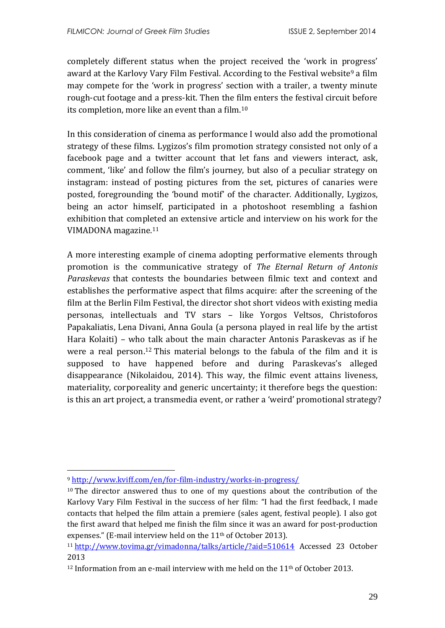completely different status when the project received the 'work in progress' award at the Karlovy Vary Film Festival. According to the Festival website<sup>9</sup> a film may compete for the 'work in progress' section with a trailer, a twenty minute rough-cut footage and a press-kit. Then the film enters the festival circuit before its completion, more like an event than a film.<sup>10</sup>

In this consideration of cinema as performance I would also add the promotional strategy of these films. Lygizos's film promotion strategy consisted not only of a facebook page and a twitter account that let fans and viewers interact, ask, comment, 'like' and follow the film's journey, but also of a peculiar strategy on instagram: instead of posting pictures from the set, pictures of canaries were posted, foregrounding the 'bound motif' of the character. Additionally, Lygizos, being an actor himself, participated in a photoshoot resembling a fashion exhibition that completed an extensive article and interview on his work for the VIMADONA magazine.<sup>11</sup>

A more interesting example of cinema adopting performative elements through promotion is the communicative strategy of *The Eternal Return of Antonis Paraskevas* that contests the boundaries between filmic text and context and establishes the performative aspect that films acquire: after the screening of the film at the Berlin Film Festival, the director shot short videos with existing media personas, intellectuals and TV stars – like Yorgos Veltsos, Christoforos Papakaliatis, Lena Divani, Anna Goula (a persona played in real life by the artist Hara Kolaiti) – who talk about the main character Antonis Paraskevas as if he were a real person.<sup>12</sup> This material belongs to the fabula of the film and it is supposed to have happened before and during Paraskevas's alleged disappearance (Nikolaidou, 2014). This way, the filmic event attains liveness, materiality, corporeality and generic uncertainty; it therefore begs the question: is this an art project, a transmedia event, or rather a 'weird' promotional strategy?

1

<sup>9</sup> <http://www.kviff.com/en/for-film-industry/works-in-progress/>

<sup>&</sup>lt;sup>10</sup> The director answered thus to one of my questions about the contribution of the Karlovy Vary Film Festival in the success of her film: "I had the first feedback, I made contacts that helped the film attain a premiere (sales agent, festival people). I also got the first award that helped me finish the film since it was an award for post-production expenses." (E-mail interview held on the 11<sup>th</sup> of October 2013).

<sup>11</sup> <http://www.tovima.gr/vimadonna/talks/article/?aid=510614> Accessed 23 October 2013

<sup>&</sup>lt;sup>12</sup> Information from an e-mail interview with me held on the  $11<sup>th</sup>$  of October 2013.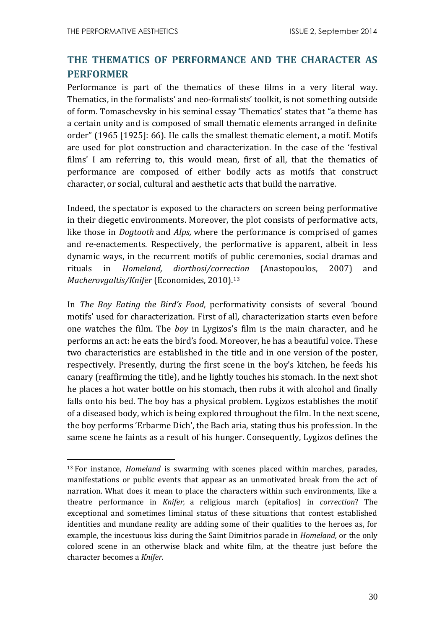<u>.</u>

## **THE THEMATICS OF PERFORMANCE AND THE CHARACTER AS PERFORMER**

Performance is part of the thematics of these films in a very literal way. Thematics, in the formalists' and neo-formalists' toolkit, is not something outside of form. Tomaschevsky in his seminal essay 'Thematics' states that "a theme has a certain unity and is composed of small thematic elements arranged in definite order" (1965 [1925]: 66). He calls the smallest thematic element, a motif. Motifs are used for plot construction and characterization. In the case of the 'festival films' I am referring to, this would mean, first of all, that the thematics of performance are composed of either bodily acts as motifs that construct character, or social, cultural and aesthetic acts that build the narrative.

Indeed, the spectator is exposed to the characters on screen being performative in their diegetic environments. Moreover, the plot consists of performative acts, like those in *Dogtooth* and *Alps,* where the performance is comprised of games and re-enactements. Respectively, the performative is apparent, albeit in less dynamic ways, in the recurrent motifs of public ceremonies, social dramas and rituals in *Homeland, diorthosi/correction* (Anastopoulos, 2007) and *Macherovgaltis/Knifer* (Economides, 2010). 13

In *The Boy Eating the Bird's Food*, performativity consists of several 'bound motifs' used for characterization. First of all, characterization starts even before one watches the film. The *boy* in Lygizos's film is the main character, and he performs an act: he eats the bird's food. Moreover, he has a beautiful voice. These two characteristics are established in the title and in one version of the poster, respectively. Presently, during the first scene in the boy's kitchen, he feeds his canary (reaffirming the title), and he lightly touches his stomach. In the next shot he places a hot water bottle on his stomach, then rubs it with alcohol and finally falls onto his bed. The boy has a physical problem. Lygizos establishes the motif of a diseased body, which is being explored throughout the film. In the next scene, the boy performs 'Erbarme Dich', the Bach aria, stating thus his profession. In the same scene he faints as a result of his hunger. Consequently, Lygizos defines the

<sup>13</sup> For instance, *Homeland* is swarming with scenes placed within marches, parades, manifestations or public events that appear as an unmotivated break from the act of narration. What does it mean to place the characters within such environments, like a theatre performance in *Knifer,* a religious march (epitafios) in *correction*? The exceptional and sometimes liminal status of these situations that contest established identities and mundane reality are adding some of their qualities to the heroes as, for example, the incestuous kiss during the Saint Dimitrios parade in *Homeland,* or the only colored scene in an otherwise black and white film, at the theatre just before the character becomes a *Knifer*.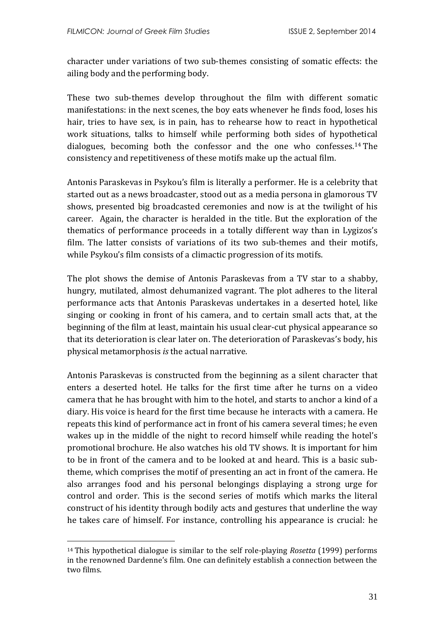character under variations of two sub-themes consisting of somatic effects: the ailing body and the performing body.

These two sub-themes develop throughout the film with different somatic manifestations: in the next scenes, the boy eats whenever he finds food, loses his hair, tries to have sex, is in pain, has to rehearse how to react in hypothetical work situations, talks to himself while performing both sides of hypothetical dialogues, becoming both the confessor and the one who confesses. <sup>14</sup> The consistency and repetitiveness of these motifs make up the actual film.

Antonis Paraskevas in Psykou's film is literally a performer. He is a celebrity that started out as a news broadcaster, stood out as a media persona in glamorous TV shows, presented big broadcasted ceremonies and now is at the twilight of his career. Again, the character is heralded in the title. But the exploration of the thematics of performance proceeds in a totally different way than in Lygizos's film. The latter consists of variations of its two sub-themes and their motifs, while Psykou's film consists of a climactic progression of its motifs.

The plot shows the demise of Antonis Paraskevas from a TV star to a shabby, hungry, mutilated, almost dehumanized vagrant. The plot adheres to the literal performance acts that Antonis Paraskevas undertakes in a deserted hotel, like singing or cooking in front of his camera, and to certain small acts that, at the beginning of the film at least, maintain his usual clear-cut physical appearance so that its deterioration is clear later on. The deterioration of Paraskevas's body, his physical metamorphosis *is* the actual narrative.

Antonis Paraskevas is constructed from the beginning as a silent character that enters a deserted hotel. He talks for the first time after he turns on a video camera that he has brought with him to the hotel, and starts to anchor a kind of a diary. His voice is heard for the first time because he interacts with a camera. He repeats this kind of performance act in front of his camera several times; he even wakes up in the middle of the night to record himself while reading the hotel's promotional brochure. He also watches his old TV shows. It is important for him to be in front of the camera and to be looked at and heard. This is a basic subtheme, which comprises the motif of presenting an act in front of the camera. He also arranges food and his personal belongings displaying a strong urge for control and order. This is the second series of motifs which marks the literal construct of his identity through bodily acts and gestures that underline the way he takes care of himself. For instance, controlling his appearance is crucial: he

1

<sup>14</sup> This hypothetical dialogue is similar to the self role-playing *Rosetta* (1999) performs in the renowned Dardenne's film. One can definitely establish a connection between the two films.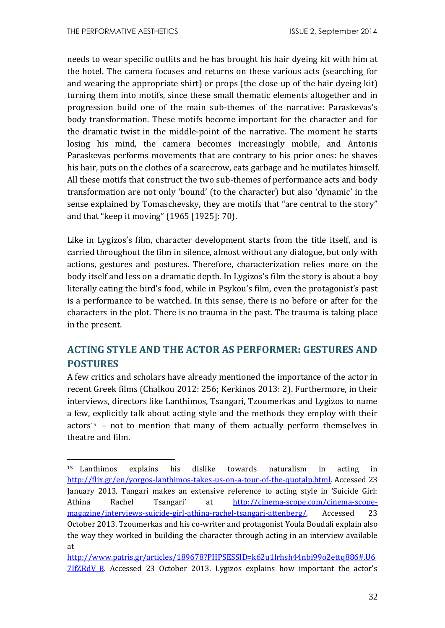<u>.</u>

needs to wear specific outfits and he has brought his hair dyeing kit with him at the hotel. The camera focuses and returns on these various acts (searching for and wearing the appropriate shirt) or props (the close up of the hair dyeing kit) turning them into motifs, since these small thematic elements altogether and in progression build one of the main sub-themes of the narrative: Paraskevas's body transformation. These motifs become important for the character and for the dramatic twist in the middle-point of the narrative. The moment he starts losing his mind, the camera becomes increasingly mobile, and Antonis Paraskevas performs movements that are contrary to his prior ones: he shaves his hair, puts on the clothes of a scarecrow, eats garbage and he mutilates himself. All these motifs that construct the two sub-themes of performance acts and body transformation are not only 'bound' (to the character) but also 'dynamic' in the sense explained by Tomaschevsky, they are motifs that "are central to the story" and that "keep it moving" (1965 [1925]: 70).

Like in Lygizos's film, character development starts from the title itself, and is carried throughout the film in silence, almost without any dialogue, but only with actions, gestures and postures. Therefore, characterization relies more on the body itself and less on a dramatic depth. In Lygizos's film the story is about a boy literally eating the bird's food, while in Psykou's film, even the protagonist's past is a performance to be watched. In this sense, there is no before or after for the characters in the plot. There is no trauma in the past. The trauma is taking place in the present.

## **ACTING STYLE AND THE ACTOR AS PERFORMER: GESTURES AND POSTURES**

A few critics and scholars have already mentioned the importance of the actor in recent Greek films (Chalkou 2012: 256; Kerkinos 2013: 2). Furthermore, in their interviews, directors like Lanthimos, Tsangari, Tzoumerkas and Lygizos to name a few, explicitly talk about acting style and the methods they employ with their  $actors<sup>15</sup>$  – not to mention that many of them actually perform themselves in theatre and film.

<sup>15</sup> Lanthimos explains his dislike towards naturalism in acting in [http://flix.gr/en/yorgos-lanthimos-takes-us-on-a-tour-of-the-quotalp.html.](http://flix.gr/en/yorgos-lanthimos-takes-us-on-a-tour-of-the-quotalp.html) Accessed 23 January 2013. Tangari makes an extensive reference to acting style in 'Suicide Girl: Athina Rachel Tsangari' at [http://cinema-scope.com/cinema-scope](http://cinema-scope.com/cinema-scope-magazine/interviews-suicide-girl-athina-rachel-tsangari-attenberg/)[magazine/interviews-suicide-girl-athina-rachel-tsangari-attenberg/.](http://cinema-scope.com/cinema-scope-magazine/interviews-suicide-girl-athina-rachel-tsangari-attenberg/) Accessed 23 October 2013. Tzoumerkas and his co-writer and protagonist Youla Boudali explain also the way they worked in building the character through acting in an interview available at

[http://www.patris.gr/articles/189678?PHPSESSID=k62u1lrhsh44nbi99o2ettq886#.U6](http://www.patris.gr/articles/189678?PHPSESSID=k62u1lrhsh44nbi99o2ettq886#.U67IfZRdV_B) 7IfZRdV B. Accessed 23 October 2013. Lygizos explains how important the actor's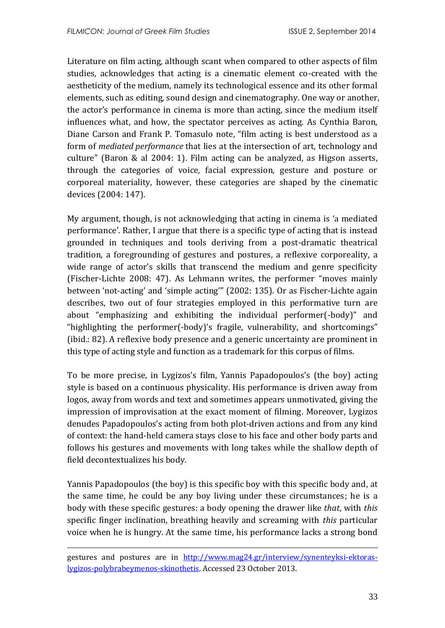Literature on film acting, although scant when compared to other aspects of film studies, acknowledges that acting is a cinematic element co-created with the aestheticity of the medium, namely its technological essence and its other formal elements, such as editing, sound design and cinematography. One way or another, the actor's performance in cinema is more than acting, since the medium itself influences what, and how, the spectator perceives as acting. As Cynthia Baron, Diane Carson and Frank P. Tomasulo note, "film acting is best understood as a form of *mediated performance* that lies at the intersection of art, technology and culture" (Baron & al 2004: 1). Film acting can be analyzed, as Higson asserts, through the categories of voice, facial expression, gesture and posture or corporeal materiality, however, these categories are shaped by the cinematic devices (2004: 147).

My argument, though, is not acknowledging that acting in cinema is 'a mediated performance'. Rather, I argue that there is a specific type of acting that is instead grounded in techniques and tools deriving from a post-dramatic theatrical tradition, a foregrounding of gestures and postures, a reflexive corporeality, a wide range of actor's skills that transcend the medium and genre specificity (Fischer-Lichte 2008: 47). As Lehmann writes, the performer "moves mainly between 'not-acting' and 'simple acting'" (2002: 135). Or as Fischer-Lichte again describes, two out of four strategies employed in this performative turn are about "emphasizing and exhibiting the individual performer(-body)" and "highlighting the performer(-body)'s fragile, vulnerability, and shortcomings" (ibid.: 82). A reflexive body presence and a generic uncertainty are prominent in this type of acting style and function as a trademark for this corpus of films.

To be more precise, in Lygizos's film, Yannis Papadopoulos's (the boy) acting style is based on a continuous physicality. His performance is driven away from logos, away from words and text and sometimes appears unmotivated, giving the impression of improvisation at the exact moment of filming. Moreover, Lygizos denudes Papadopoulos's acting from both plot-driven actions and from any kind of context: the hand-held camera stays close to his face and other body parts and follows his gestures and movements with long takes while the shallow depth of field decontextualizes his body.

Yannis Papadopoulos (the boy) is this specific boy with this specific body and, at the same time, he could be any boy living under these circumstances; he is a body with these specific gestures: a body opening the drawer like *that*, with *this* specific finger inclination, breathing heavily and screaming with *this* particular voice when he is hungry. At the same time, his performance lacks a strong bond

1

gestures and postures are in [http://www.mag24.gr/interview/synenteyksi-ektoras](http://www.mag24.gr/interview/synenteyksi-ektoras-lygizos-polybrabeymenos-skinothetis)[lygizos-polybrabeymenos-skinothetis.](http://www.mag24.gr/interview/synenteyksi-ektoras-lygizos-polybrabeymenos-skinothetis) Accessed 23 October 2013.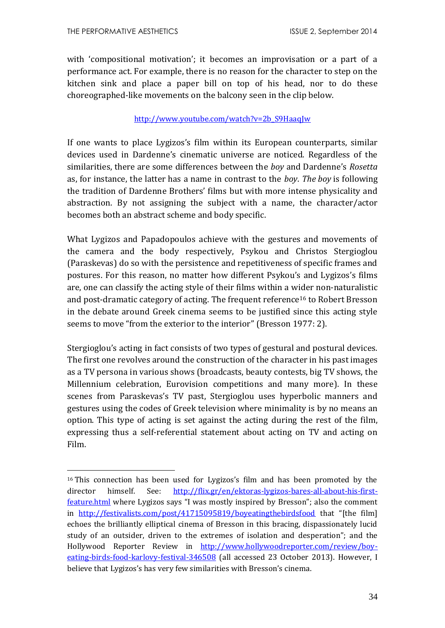1

with 'compositional motivation'; it becomes an improvisation or a part of a performance act. For example, there is no reason for the character to step on the kitchen sink and place a paper bill on top of his head, nor to do these choreographed-like movements on the balcony seen in the clip below.

#### [http://www.youtube.com/watch?v=2b\\_S9HaaqJw](http://www.youtube.com/watch?v=2b_S9HaaqJw)

If one wants to place Lygizos's film within its European counterparts, similar devices used in Dardenne's cinematic universe are noticed. Regardless of the similarities, there are some differences between the *boy* and Dardenne's *Rosetta* as, for instance, the latter has a name in contrast to the *boy*. *The boy* is following the tradition of Dardenne Brothers' films but with more intense physicality and abstraction. By not assigning the subject with a name, the character/actor becomes both an abstract scheme and body specific.

What Lygizos and Papadopoulos achieve with the gestures and movements of the camera and the body respectively, Psykou and Christos Stergioglou (Paraskevas) do so with the persistence and repetitiveness of specific frames and postures. For this reason, no matter how different Psykou's and Lygizos's films are, one can classify the acting style of their films within a wider non-naturalistic and post-dramatic category of acting. The frequent reference<sup>16</sup> to Robert Bresson in the debate around Greek cinema seems to be justified since this acting style seems to move "from the exterior to the interior" (Bresson 1977: 2).

Stergioglou's acting in fact consists of two types of gestural and postural devices. The first one revolves around the construction of the character in his past images as a TV persona in various shows (broadcasts, beauty contests, big TV shows, the Millennium celebration, Eurovision competitions and many more). In these scenes from Paraskevas's TV past, Stergioglou uses hyperbolic manners and gestures using the codes of Greek television where minimality is by no means an option. This type of acting is set against the acting during the rest of the film, expressing thus a self-referential statement about acting on TV and acting on Film.

<sup>16</sup> This connection has been used for Lygizos's film and has been promoted by the director himself. See: [http://flix.gr/en/ektoras-lygizos-bares-all-about-his-first](http://flix.gr/en/ektoras-lygizos-bares-all-about-his-first-feature.html)[feature.html](http://flix.gr/en/ektoras-lygizos-bares-all-about-his-first-feature.html) where Lygizos says "I was mostly inspired by Bresson"; also the comment in <http://festivalists.com/post/41715095819/boyeatingthebirdsfood> that "[the film] echoes the brilliantly elliptical cinema of Bresson in this bracing, dispassionately lucid study of an outsider, driven to the extremes of isolation and desperation"; and the Hollywood Reporter Review in [http://www.hollywoodreporter.com/review/boy](http://www.hollywoodreporter.com/review/boy-eating-birds-food-karlovy-festival-346508)[eating-birds-food-karlovy-festival-346508](http://www.hollywoodreporter.com/review/boy-eating-birds-food-karlovy-festival-346508) (all accessed 23 October 2013). However, I believe that Lygizos's has very few similarities with Bresson's cinema.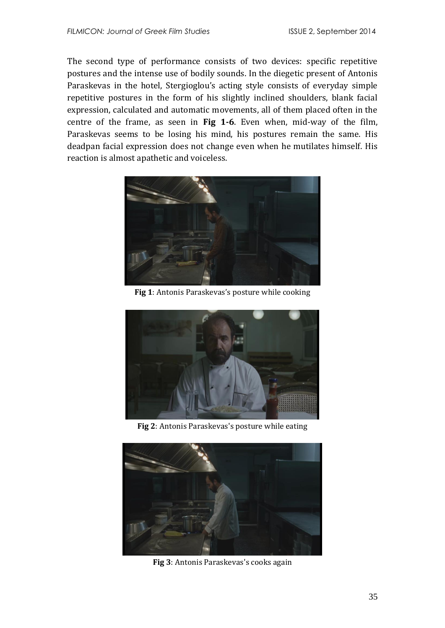The second type of performance consists of two devices: specific repetitive postures and the intense use of bodily sounds. In the diegetic present of Antonis Paraskevas in the hotel, Stergioglou's acting style consists of everyday simple repetitive postures in the form of his slightly inclined shoulders, blank facial expression, calculated and automatic movements, all of them placed often in the centre of the frame, as seen in **Fig 1-6**. Even when, mid-way of the film, Paraskevas seems to be losing his mind, his postures remain the same. His deadpan facial expression does not change even when he mutilates himself. His reaction is almost apathetic and voiceless.



**Fig 1**: Antonis Paraskevas's posture while cooking



**Fig 2**: Antonis Paraskevas's posture while eating



**Fig 3**: Antonis Paraskevas's cooks again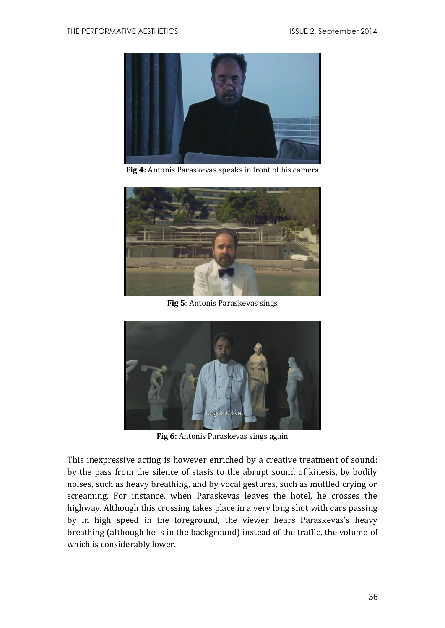

**Fig 4:** Antonis Paraskevas speaks in front of his camera



**Fig 5**: Antonis Paraskevas sings



**Fig 6:** Antonis Paraskevas sings again

This inexpressive acting is however enriched by a creative treatment of sound: by the pass from the silence of stasis to the abrupt sound of kinesis, by bodily noises, such as heavy breathing, and by vocal gestures, such as muffled crying or screaming. For instance, when Paraskevas leaves the hotel, he crosses the highway. Although this crossing takes place in a very long shot with cars passing by in high speed in the foreground, the viewer hears Paraskevas's heavy breathing (although he is in the background) instead of the traffic, the volume of which is considerably lower.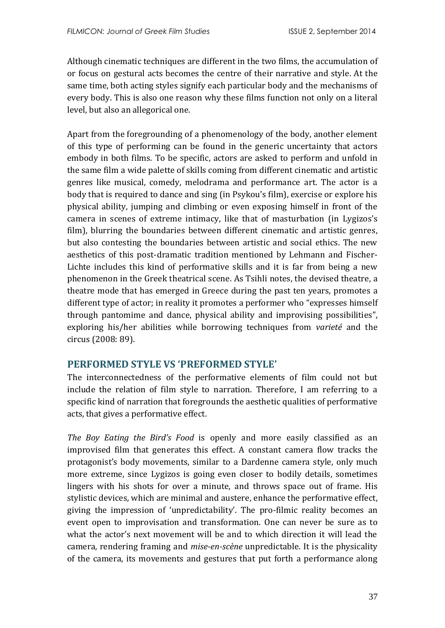Although cinematic techniques are different in the two films, the accumulation of or focus on gestural acts becomes the centre of their narrative and style. At the same time, both acting styles signify each particular body and the mechanisms of every body. This is also one reason why these films function not only on a literal level, but also an allegorical one.

Apart from the foregrounding of a phenomenology of the body, another element of this type of performing can be found in the generic uncertainty that actors embody in both films. To be specific, actors are asked to perform and unfold in the same film a wide palette of skills coming from different cinematic and artistic genres like musical, comedy, melodrama and performance art. The actor is a body that is required to dance and sing (in Psykou's film), exercise or explore his physical ability, jumping and climbing or even exposing himself in front of the camera in scenes of extreme intimacy, like that of masturbation (in Lygizos's film), blurring the boundaries between different cinematic and artistic genres, but also contesting the boundaries between artistic and social ethics. The new aesthetics of this post-dramatic tradition mentioned by Lehmann and Fischer-Lichte includes this kind of performative skills and it is far from being a new phenomenon in the Greek theatrical scene. As Tsihli notes, the devised theatre, a theatre mode that has emerged in Greece during the past ten years, promotes a different type of actor; in reality it promotes a performer who "expresses himself through pantomime and dance, physical ability and improvising possibilities", exploring his/her abilities while borrowing techniques from *varieté* and the circus (2008: 89).

## **PERFORMED STYLE VS 'PREFORMED STYLE'**

The interconnectedness of the performative elements of film could not but include the relation of film style to narration. Therefore, I am referring to a specific kind of narration that foregrounds the aesthetic qualities of performative acts, that gives a performative effect.

*The Boy Eating the Bird's Food* is openly and more easily classified as an improvised film that generates this effect. A constant camera flow tracks the protagonist's body movements, similar to a Dardenne camera style, only much more extreme, since Lygizos is going even closer to bodily details, sometimes lingers with his shots for over a minute, and throws space out of frame. His stylistic devices, which are minimal and austere, enhance the performative effect, giving the impression of 'unpredictability'. The pro-filmic reality becomes an event open to improvisation and transformation. One can never be sure as to what the actor's next movement will be and to which direction it will lead the camera, rendering framing and *mise-en-scène* unpredictable. It is the physicality of the camera, its movements and gestures that put forth a performance along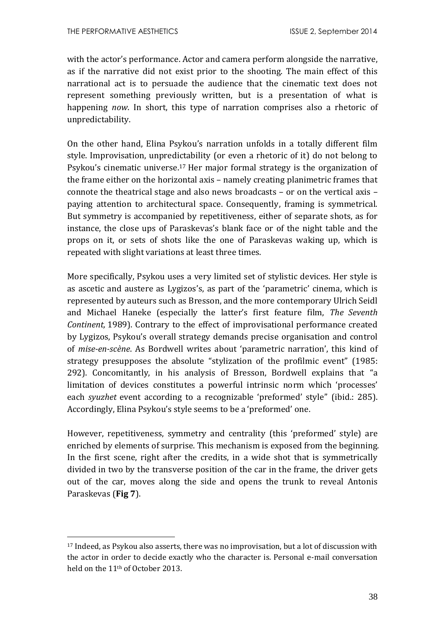<u>.</u>

with the actor's performance. Actor and camera perform alongside the narrative, as if the narrative did not exist prior to the shooting. The main effect of this narrational act is to persuade the audience that the cinematic text does not represent something previously written, but is a presentation of what is happening *now*. In short, this type of narration comprises also a rhetoric of unpredictability.

On the other hand, Elina Psykou's narration unfolds in a totally different film style. Improvisation, unpredictability (or even a rhetoric of it) do not belong to Psykou's cinematic universe. <sup>17</sup> Her major formal strategy is the organization of the frame either on the horizontal axis – namely creating planimetric frames that connote the theatrical stage and also news broadcasts – or on the vertical axis – paying attention to architectural space. Consequently, framing is symmetrical. But symmetry is accompanied by repetitiveness, either of separate shots, as for instance, the close ups of Paraskevas's blank face or of the night table and the props on it, or sets of shots like the one of Paraskevas waking up, which is repeated with slight variations at least three times.

More specifically, Psykou uses a very limited set of stylistic devices. Her style is as ascetic and austere as Lygizos's, as part of the 'parametric' cinema, which is represented by auteurs such as Bresson, and the more contemporary Ulrich Seidl and Michael Haneke (especially the latter's first feature film, *The Seventh Continent,* 1989). Contrary to the effect of improvisational performance created by Lygizos, Psykou's overall strategy demands precise organisation and control of *mise-en-scène*. As Bordwell writes about 'parametric narration', this kind of strategy presupposes the absolute "stylization of the profilmic event" (1985: 292). Concomitantly, in his analysis of Bresson, Bordwell explains that "a limitation of devices constitutes a powerful intrinsic norm which 'processes' each *syuzhet* event according to a recognizable 'preformed' style" (ibid.: 285). Accordingly, Elina Psykou's style seems to be a 'preformed' one.

However, repetitiveness, symmetry and centrality (this 'preformed' style) are enriched by elements of surprise. This mechanism is exposed from the beginning. In the first scene, right after the credits, in a wide shot that is symmetrically divided in two by the transverse position of the car in the frame, the driver gets out of the car, moves along the side and opens the trunk to reveal Antonis Paraskevas (**Fig 7**).

<sup>17</sup> Indeed, as Psykou also asserts, there was no improvisation, but a lot of discussion with the actor in order to decide exactly who the character is. Personal e-mail conversation held on the 11th of October 2013.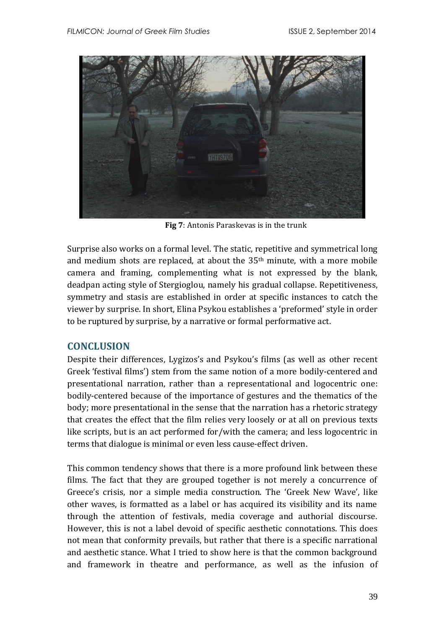

**Fig 7**: Antonis Paraskevas is in the trunk

Surprise also works on a formal level. The static, repetitive and symmetrical long and medium shots are replaced, at about the 35th minute, with a more mobile camera and framing, complementing what is not expressed by the blank, deadpan acting style of Stergioglou, namely his gradual collapse. Repetitiveness, symmetry and stasis are established in order at specific instances to catch the viewer by surprise. In short, Elina Psykou establishes a 'preformed' style in order to be ruptured by surprise, by a narrative or formal performative act.

## **CONCLUSION**

Despite their differences, Lygizos's and Psykou's films (as well as other recent Greek 'festival films') stem from the same notion of a more bodily-centered and presentational narration, rather than a representational and logocentric one: bodily-centered because of the importance of gestures and the thematics of the body; more presentational in the sense that the narration has a rhetoric strategy that creates the effect that the film relies very loosely or at all on previous texts like scripts, but is an act performed for/with the camera; and less logocentric in terms that dialogue is minimal or even less cause-effect driven.

This common tendency shows that there is a more profound link between these films. The fact that they are grouped together is not merely a concurrence of Greece's crisis, nor a simple media construction. The 'Greek New Wave', like other waves, is formatted as a label or has acquired its visibility and its name through the attention of festivals, media coverage and authorial discourse. However, this is not a label devoid of specific aesthetic connotations. This does not mean that conformity prevails, but rather that there is a specific narrational and aesthetic stance. What I tried to show here is that the common background and framework in theatre and performance, as well as the infusion of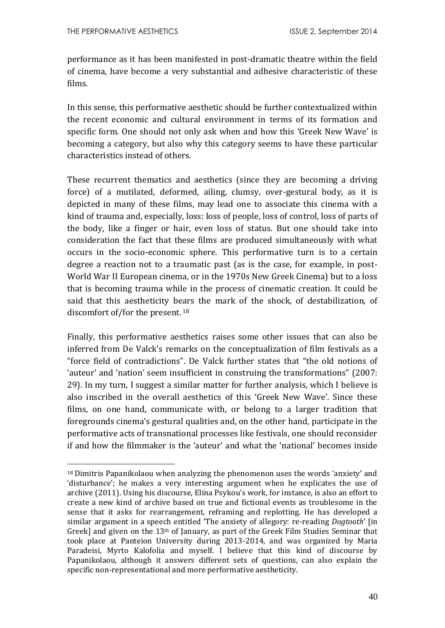<u>.</u>

performance as it has been manifested in post-dramatic theatre within the field of cinema, have become a very substantial and adhesive characteristic of these films.

In this sense, this performative aesthetic should be further contextualized within the recent economic and cultural environment in terms of its formation and specific form. One should not only ask when and how this 'Greek New Wave' is becoming a category, but also why this category seems to have these particular characteristics instead of others.

These recurrent thematics and aesthetics (since they are becoming a driving force) of a mutilated, deformed, ailing, clumsy, over-gestural body, as it is depicted in many of these films, may lead one to associate this cinema with a kind of trauma and, especially, loss: loss of people, loss of control, loss of parts of the body, like a finger or hair, even loss of status. But one should take into consideration the fact that these films are produced simultaneously with what occurs in the socio-economic sphere. This performative turn is to a certain degree a reaction not to a traumatic past (as is the case, for example, in post-World War II European cinema, or in the 1970s New Greek Cinema) but to a loss that is becoming trauma while in the process of cinematic creation. It could be said that this aestheticity bears the mark of the shock, of destabilization, of discomfort of/for the present. 18

Finally, this performative aesthetics raises some other issues that can also be inferred from De Valck's remarks on the conceptualization of film festivals as a "force field of contradictions". De Valck further states that "the old notions of 'auteur' and 'nation' seem insufficient in construing the transformations" (2007: 29). In my turn, I suggest a similar matter for further analysis, which I believe is also inscribed in the overall aesthetics of this 'Greek New Wave'. Since these films, on one hand, communicate with, or belong to a larger tradition that foregrounds cinema's gestural qualities and, on the other hand, participate in the performative acts of transnational processes like festivals, one should reconsider if and how the filmmaker is the 'auteur' and what the 'national' becomes inside

<sup>18</sup> Dimitris Papanikolaou when analyzing the phenomenon uses the words 'anxiety' and 'disturbance'; he makes a very interesting argument when he explicates the use of archive (2011). Using his discourse, Elina Psykou's work, for instance, is also an effort to create a new kind of archive based on true and fictional events as troublesome in the sense that it asks for rearrangement, reframing and replotting. He has developed a similar argument in a speech entitled 'The anxiety of allegory: re-reading *Dogtooth*' [in Greek] and given on the  $13<sup>th</sup>$  of January, as part of the Greek Film Studies Seminar that took place at Panteion University during 2013-2014, and was organized by Maria Paradeisi, Myrto Kalofolia and myself. I believe that this kind of discourse by Papanikolaou, although it answers different sets of questions, can also explain the specific non-representational and more performative aestheticity.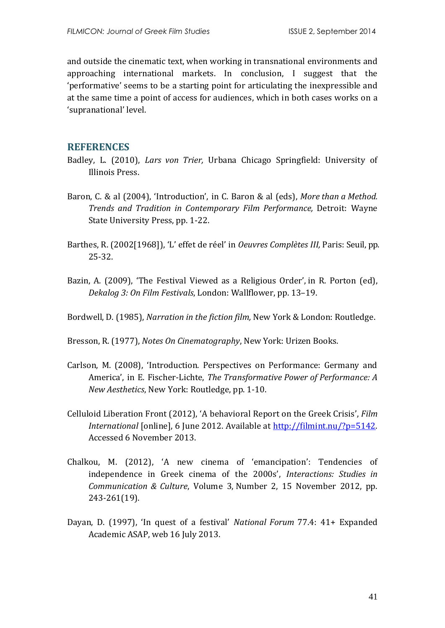and outside the cinematic text, when working in transnational environments and approaching international markets. In conclusion, I suggest that the 'performative' seems to be a starting point for articulating the inexpressible and at the same time a point of access for audiences, which in both cases works on a 'supranational' level.

#### **REFERENCES**

- Badley, L. (2010), *Lars von Trier,* Urbana Chicago Springfield: University of Illinois Press.
- Baron, C. & al (2004), 'Introduction', in C. Baron & al (eds), *More than a Method. Trends and Tradition in Contemporary Film Performance,* Detroit: Wayne State University Press, pp. 1-22.
- Barthes, R. (2002[1968]), 'L' effet de réel' in *Oeuvres Complètes III,* Paris: Seuil, pp. 25-32.
- Bazin, A. (2009), 'The Festival Viewed as a Religious Order', in R. Porton (ed), *Dekalog 3: On Film Festivals*, London: Wallflower, pp. 13–19.

Bordwell, D. (1985), *Narration in the fiction film,* New York & London: Routledge.

Bresson, R. (1977), *Notes On Cinematography*, New York: Urizen Books.

- Carlson, M. (2008), 'Introduction. Perspectives on Performance: Germany and America', in E. Fischer-Lichte, *The Transformative Power of Performance: A New Aesthetics*, New York: Routledge, pp. 1-10.
- Celluloid Liberation Front (2012), 'A behavioral Report on the Greek Crisis', *Film International* [online], 6 June 2012. Available at [http://filmint.nu/?p=5142.](http://filmint.nu/?p=5142) Accessed 6 November 2013.
- Chalkou, M. (2012), 'A new cinema of 'emancipation': Tendencies of independence in Greek cinema of the 2000s', *[Interactions: Studies in](http://www.ingentaconnect.com/content/intellect/iscc;jsessionid=2g93ccgf8gids.alice)  [Communication & Culture](http://www.ingentaconnect.com/content/intellect/iscc;jsessionid=2g93ccgf8gids.alice)*, Volume 3, Number 2, 15 November 2012, pp. 243-261(19).
- Dayan, D. (1997), 'In quest of a festival' *National Forum* 77.4: 41+ Expanded Academic ASAP, web 16 July 2013.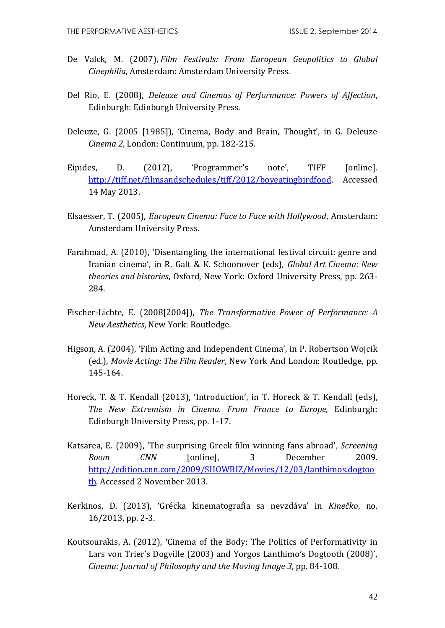- De Valck, M. (2007), *Film Festivals: From European Geopolitics to Global Cinephilia,* Amsterdam: Amsterdam University Press.
- Del Rio, E. (2008), *Deleuze and Cinemas of Performance: Powers of Affection*, Edinburgh: Edinburgh University Press.
- Deleuze, G. (2005 [1985]), 'Cinema, Body and Brain, Thought', in G. Deleuze *Cinema 2*, London: Continuum, pp. 182-215.
- Eipides, D. (2012), 'Programmer's note', TIFF [online]. [http://tiff.net/filmsandschedules/tiff/2012/boyeatingbirdfood.](http://tiff.net/filmsandschedules/tiff/2012/boyeatingbirdfood) Accessed 14 May 2013.
- Elsaesser, T. (2005), *European Cinema: Face to Face with Hollywood*, Amsterdam: Amsterdam University Press.
- Farahmad, A. (2010), 'Disentangling the international festival circuit: genre and Iranian cinema', in R. Galt & K. Schoonover (eds), *Global Art Cinema: New theories and histories*, Oxford, New York: Oxford University Press, pp. 263- 284.
- Fischer-Lichte, E. (2008[2004]), *The Transformative Power of Performance: A New Aesthetics*, New York: Routledge.
- Higson, A. (2004), 'Film Acting and Independent Cinema', in P. Robertson Wojcik (ed.), *Movie Acting: The Film Reader*, New York And London: Routledge, pp. 145-164.
- Horeck, T. & T. Kendall (2013), 'Introduction', in T. Horeck & T. Kendall (eds), *The New Extremism in Cinema. From France to Europe,* Edinburgh: Edinburgh University Press, pp. 1-17.
- Katsarea, E. (2009), 'The surprising Greek film winning fans abroad', *Screening Room CNN* [online], 3 December 2009. [http://edition.cnn.com/2009/SHOWBIZ/Movies/12/03/lanthimos.dogtoo](http://edition.cnn.com/2009/SHOWBIZ/Movies/12/03/lanthimos.dogtooth) [th.](http://edition.cnn.com/2009/SHOWBIZ/Movies/12/03/lanthimos.dogtooth) Accessed 2 November 2013.
- Kerkinos, D. (2013), 'Grécka kinematografia sa nevzdáva' in *Kinečko*, no. 16/2013, pp. 2-3.
- Koutsourakis, A. (2012), 'Cinema of the Body: The Politics of Performativity in Lars von Trier's Dogville (2003) and Yorgos Lanthimo's Dogtooth (2008)', *Cinema: Journal of Philosophy and the Moving Image 3*, pp. 84-108.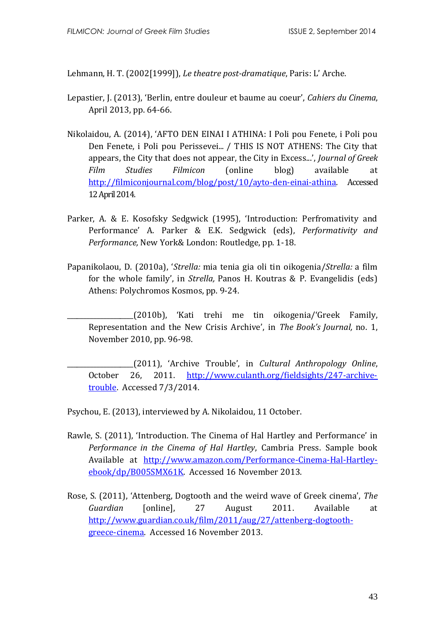Lehmann, H. T. (2002[1999]), *Le theatre post-dramatique*, Paris: L' Arche.

- Lepastier, J. (2013), 'Berlin, entre douleur et baume au coeur', *Cahiers du Cinema*, April 2013, pp. 64-66.
- Nikolaidou, A. (2014), 'AFTO DEN EINAI I ATHINA: I Poli pou Fenete, i Poli pou Den Fenete, i Poli pou Perissevei... / THIS IS NOT ATHENS: The City that appears, the City that does not appear, the City in Excess...', *Journal of Greek Film Studies Filmicon* (online blog) available at [http://filmiconjournal.com/blog/post/10/ayto-den-einai-athina.](http://filmiconjournal.com/blog/post/10/ayto-den-einai-athina) Accessed 12 April 2014.
- Parker, A. & E. Kosofsky Sedgwick (1995), 'Introduction: Perfromativity and Performance' A. Parker & E.K. Sedgwick (eds), *Performativity and Performance,* New York& London: Routledge, pp. 1-18.
- Papanikolaou, D. (2010a), '*Strella:* mia tenia gia oli tin oikogenia/*Strella:* a film for the whole family', in *Strella,* Panos H. Koutras & P. Evangelidis (eds) Athens: Polychromos Kosmos, pp. 9-24.
	- \_\_\_\_\_\_\_\_\_\_\_\_\_\_\_\_\_\_\_\_(2010b), 'Kati trehi me tin oikogenia/'Greek Family, Representation and the New Crisis Archive', in *The Book's Journal,* no. 1, November 2010, pp. 96-98.

\_\_\_\_\_\_\_\_\_\_\_\_\_\_\_\_\_\_\_\_(2011), 'Archive Trouble', in *Cultural Anthropology Online*, October 26, 2011. [http://www.culanth.org/fieldsights/247-archive](http://www.culanth.org/fieldsights/247-archive-trouble)[trouble.](http://www.culanth.org/fieldsights/247-archive-trouble) Accessed 7/3/2014.

Psychou, E. (2013), interviewed by A. Nikolaidou, 11 October.

- Rawle, S. (2011), 'Introduction. The Cinema of Hal Hartley and Performance' in *Performance in the Cinema of Hal Hartley*, Cambria Press. Sample book Available at [http://www.amazon.com/Performance-Cinema-Hal-Hartley](http://www.amazon.com/Performance-Cinema-Hal-Hartley-ebook/dp/B005SMX61K)[ebook/dp/B005SMX61K.](http://www.amazon.com/Performance-Cinema-Hal-Hartley-ebook/dp/B005SMX61K) Accessed 16 November 2013.
- Rose, S. (2011), 'Attenberg, Dogtooth and the weird wave of Greek cinema', *The Guardian* [online], 27 August 2011. Available at [http://www.guardian.co.uk/film/2011/aug/27/attenberg-dogtooth](http://www.guardian.co.uk/film/2011/aug/27/attenberg-dogtooth-greece-cinema)[greece-cinema.](http://www.guardian.co.uk/film/2011/aug/27/attenberg-dogtooth-greece-cinema) Accessed 16 November 2013.